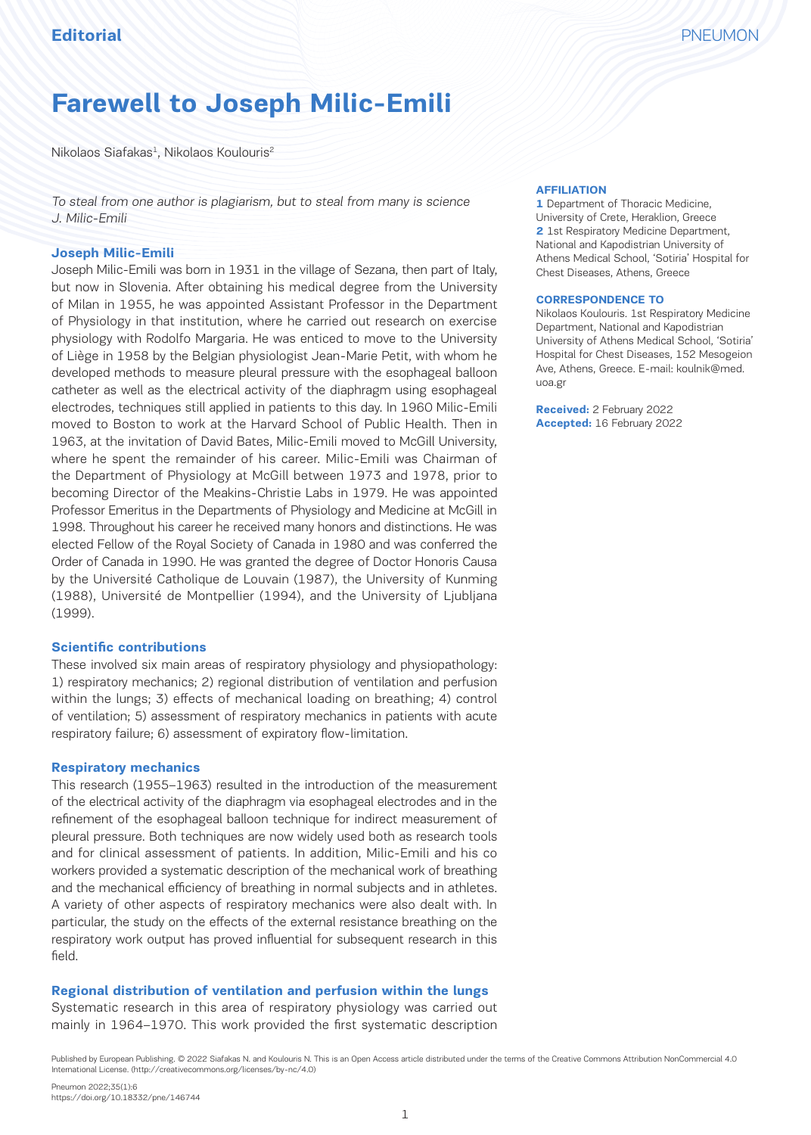# **Farewell to Joseph Milic-Emili**

 $Nikolaos Siafakas<sup>1</sup>, Nikolaos Koulouris<sup>2</sup>$ 

To steal from one author is plagiarism, but to steal from many is science J. Milic-Emili

#### **Joseph Milic-Emili**

Joseph Milic-Emili was born in 1931 in the village of Sezana, then part of Italy, but now in Slovenia. After obtaining his medical degree from the University of Milan in 1955, he was appointed Assistant Professor in the Department of Physiology in that institution, where he carried out research on exercise physiology with Rodolfo Margaria. He was enticed to move to the University of Liège in 1958 by the Belgian physiologist Jean-Marie Petit, with whom he developed methods to measure pleural pressure with the esophageal balloon catheter as well as the electrical activity of the diaphragm using esophageal electrodes, techniques still applied in patients to this day. In 1960 Milic-Emili moved to Boston to work at the Harvard School of Public Health. Then in 1963, at the invitation of David Bates, Milic-Emili moved to McGill University, where he spent the remainder of his career. Milic-Emili was Chairman of the Department of Physiology at McGill between 1973 and 1978, prior to becoming Director of the Meakins-Christie Labs in 1979. He was appointed Professor Emeritus in the Departments of Physiology and Medicine at McGill in 1998. Throughout his career he received many honors and distinctions. He was elected Fellow of the Royal Society of Canada in 1980 and was conferred the Order of Canada in 1990. He was granted the degree of Doctor Honoris Causa by the Université Catholique de Louvain (1987), the University of Kunming (1988), Université de Montpellier (1994), and the University of Ljubljana (1999).

#### **Scientific contributions**

These involved six main areas of respiratory physiology and physiopathology: 1) respiratory mechanics; 2) regional distribution of ventilation and perfusion within the lungs; 3) effects of mechanical loading on breathing; 4) control of ventilation; 5) assessment of respiratory mechanics in patients with acute respiratory failure; 6) assessment of expiratory flow-limitation.

## **Respiratory mechanics**

This research (1955–1963) resulted in the introduction of the measurement of the electrical activity of the diaphragm via esophageal electrodes and in the refinement of the esophageal balloon technique for indirect measurement of pleural pressure. Both techniques are now widely used both as research tools and for clinical assessment of patients. In addition, Milic-Emili and his co workers provided a systematic description of the mechanical work of breathing and the mechanical efficiency of breathing in normal subjects and in athletes. A variety of other aspects of respiratory mechanics were also dealt with. In particular, the study on the effects of the external resistance breathing on the respiratory work output has proved influential for subsequent research in this field.

#### **Regional distribution of ventilation and perfusion within the lungs**

Systematic research in this area of respiratory physiology was carried out mainly in 1964–1970. This work provided the first systematic description

#### **AFFILIATION**

**1** Department of Thoracic Medicine, University of Crete, Heraklion, Greece **2** 1st Respiratory Medicine Department, National and Kapodistrian University of Athens Medical School, 'Sotiria' Hospital for Chest Diseases, Athens, Greece

#### **CORRESPONDENCE TO**

Nikolaos Koulouris. 1st Respiratory Medicine Department, National and Kapodistrian University of Athens Medical School, 'Sotiria' Hospital for Chest Diseases, 152 Mesogeion Ave, Athens, Greece. E-mail: koulnik@med. uoa.gr

**Received:** 2 February 2022 **Accepted:** 16 February 2022

Published by European Publishing. © 2022 Siafakas N. and Koulouris N. This is an Open Access article distributed under the terms of the Creative Commons Attribution NonCommercial 4.0 International License. (http://creativecommons.org/licenses/by-nc/4.0)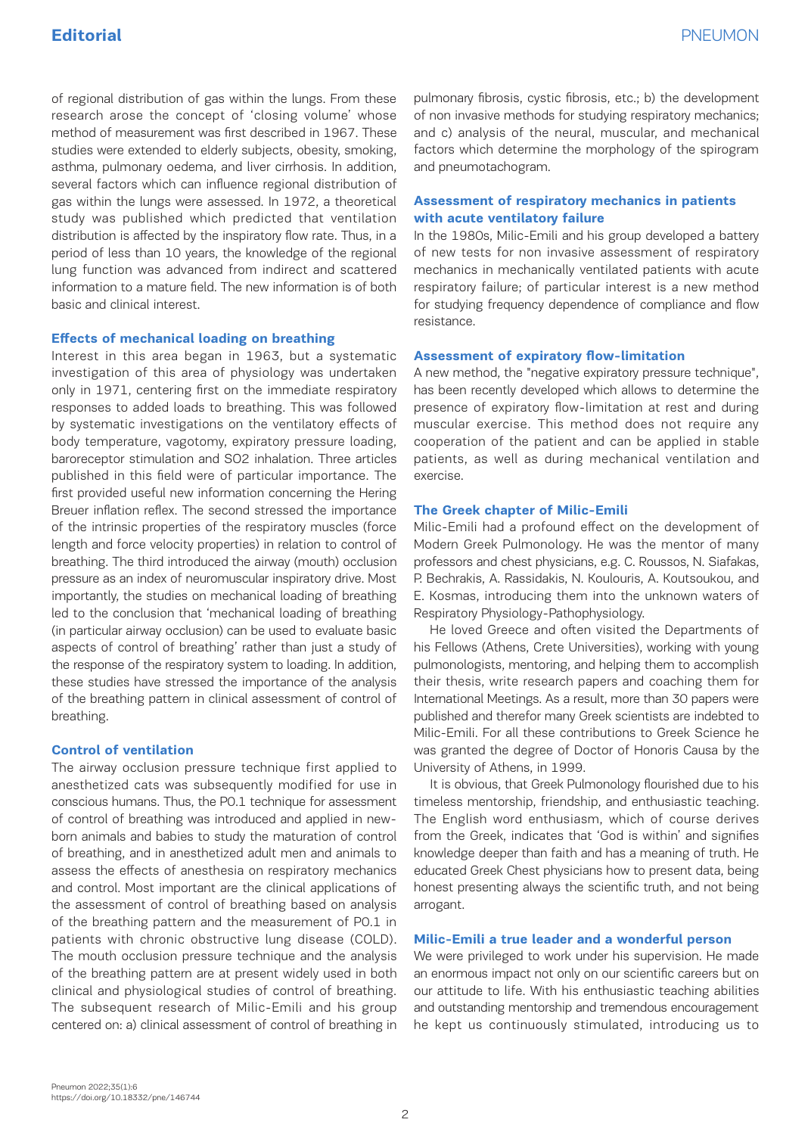of regional distribution of gas within the lungs. From these research arose the concept of 'closing volume' whose method of measurement was first described in 1967. These studies were extended to elderly subjects, obesity, smoking, asthma, pulmonary oedema, and liver cirrhosis. In addition, several factors which can influence regional distribution of gas within the lungs were assessed. In 1972, a theoretical study was published which predicted that ventilation distribution is affected by the inspiratory flow rate. Thus, in a period of less than 10 years, the knowledge of the regional lung function was advanced from indirect and scattered information to a mature field. The new information is of both basic and clinical interest.

#### **Effects of mechanical loading on breathing**

Interest in this area began in 1963, but a systematic investigation of this area of physiology was undertaken only in 1971, centering first on the immediate respiratory responses to added loads to breathing. This was followed by systematic investigations on the ventilatory effects of body temperature, vagotomy, expiratory pressure loading, baroreceptor stimulation and SO2 inhalation. Three articles published in this field were of particular importance. The first provided useful new information concerning the Hering Breuer inflation reflex. The second stressed the importance of the intrinsic properties of the respiratory muscles (force length and force velocity properties) in relation to control of breathing. The third introduced the airway (mouth) occlusion pressure as an index of neuromuscular inspiratory drive. Most importantly, the studies on mechanical loading of breathing led to the conclusion that 'mechanical loading of breathing (in particular airway occlusion) can be used to evaluate basic aspects of control of breathing' rather than just a study of the response of the respiratory system to loading. In addition, these studies have stressed the importance of the analysis of the breathing pattern in clinical assessment of control of breathing.

#### **Control of ventilation**

The airway occlusion pressure technique first applied to anesthetized cats was subsequently modified for use in conscious humans. Thus, the P0.1 technique for assessment of control of breathing was introduced and applied in newborn animals and babies to study the maturation of control of breathing, and in anesthetized adult men and animals to assess the effects of anesthesia on respiratory mechanics and control. Most important are the clinical applications of the assessment of control of breathing based on analysis of the breathing pattern and the measurement of P0.1 in patients with chronic obstructive lung disease (COLD). The mouth occlusion pressure technique and the analysis of the breathing pattern are at present widely used in both clinical and physiological studies of control of breathing. The subsequent research of Milic-Emili and his group centered on: a) clinical assessment of control of breathing in

pulmonary fibrosis, cystic fibrosis, etc.; b) the development of non invasive methods for studying respiratory mechanics; and c) analysis of the neural, muscular, and mechanical factors which determine the morphology of the spirogram and pneumotachogram.

## **Assessment of respiratory mechanics in patients with acute ventilatory failure**

In the 1980s, Milic-Emili and his group developed a battery of new tests for non invasive assessment of respiratory mechanics in mechanically ventilated patients with acute respiratory failure; of particular interest is a new method for studying frequency dependence of compliance and flow resistance.

## **Assessment of expiratory flow-limitation**

A new method, the "negative expiratory pressure technique", has been recently developed which allows to determine the presence of expiratory flow-limitation at rest and during muscular exercise. This method does not require any cooperation of the patient and can be applied in stable patients, as well as during mechanical ventilation and exercise.

#### **The Greek chapter of Milic-Emili**

Milic-Emili had a profound effect on the development of Modern Greek Pulmonology. He was the mentor of many professors and chest physicians, e.g. C. Roussos, N. Siafakas, P. Bechrakis, A. Rassidakis, N. Koulouris, A. Koutsoukou, and E. Kosmas, introducing them into the unknown waters of Respiratory Physiology-Pathophysiology.

He loved Greece and often visited the Departments of his Fellows (Athens, Crete Universities), working with young pulmonologists, mentoring, and helping them to accomplish their thesis, write research papers and coaching them for International Meetings. As a result, more than 30 papers were published and therefor many Greek scientists are indebted to Milic-Emili. For all these contributions to Greek Science he was granted the degree of Doctor of Honoris Causa by the University of Athens, in 1999.

It is obvious, that Greek Pulmonology flourished due to his timeless mentorship, friendship, and enthusiastic teaching. The English word enthusiasm, which of course derives from the Greek, indicates that 'God is within' and signifies knowledge deeper than faith and has a meaning of truth. He educated Greek Chest physicians how to present data, being honest presenting always the scientific truth, and not being arrogant.

## **Milic-Emili a true leader and a wonderful person**

We were privileged to work under his supervision. He made an enormous impact not only on our scientific careers but on our attitude to life. With his enthusiastic teaching abilities and outstanding mentorship and tremendous encouragement he kept us continuously stimulated, introducing us to